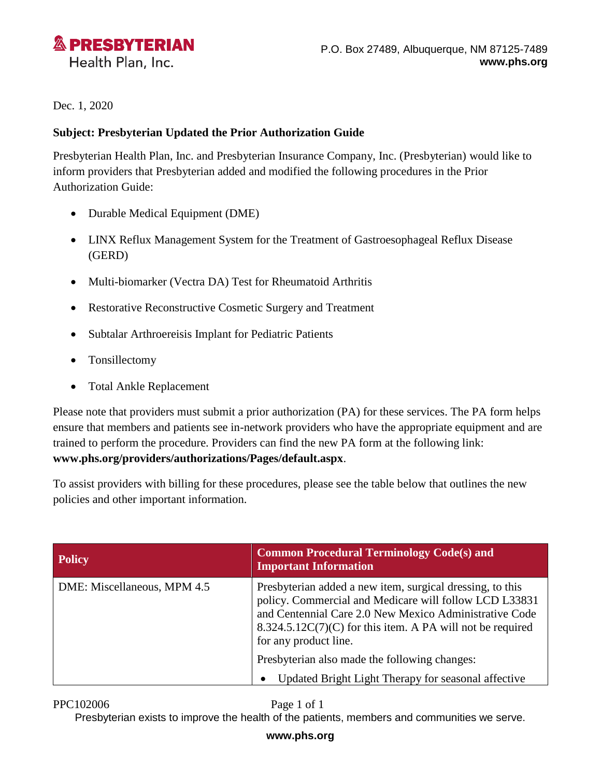

Dec. 1, 2020

## **Subject: Presbyterian Updated the Prior Authorization Guide**

Presbyterian Health Plan, Inc. and Presbyterian Insurance Company, Inc. (Presbyterian) would like to inform providers that Presbyterian added and modified the following procedures in the Prior Authorization Guide:

- Durable Medical Equipment (DME)
- LINX Reflux Management System for the Treatment of Gastroesophageal Reflux Disease (GERD)
- Multi-biomarker (Vectra DA) Test for Rheumatoid Arthritis
- Restorative Reconstructive Cosmetic Surgery and Treatment
- Subtalar Arthroereisis Implant for Pediatric Patients
- Tonsillectomy
- Total Ankle Replacement

Please note that providers must submit a prior authorization (PA) for these services. The PA form helps ensure that members and patients see in-network providers who have the appropriate equipment and are trained to perform the procedure. Providers can find the new PA form at the following link: **[www.phs.org/providers/authorizations/Pages/default.aspx](http://www.phs.org/providers/authorizations/Pages/default.aspx)**.

To assist providers with billing for these procedures, please see the table below that outlines the new policies and other important information.

| <b>Policy</b>               | <b>Common Procedural Terminology Code(s) and</b><br><b>Important Information</b>                                                                                                                                                                                       |
|-----------------------------|------------------------------------------------------------------------------------------------------------------------------------------------------------------------------------------------------------------------------------------------------------------------|
| DME: Miscellaneous, MPM 4.5 | Presbyterian added a new item, surgical dressing, to this<br>policy. Commercial and Medicare will follow LCD L33831<br>and Centennial Care 2.0 New Mexico Administrative Code<br>$8.324.5.12C(7)(C)$ for this item. A PA will not be required<br>for any product line. |
|                             | Presbyterian also made the following changes:                                                                                                                                                                                                                          |
|                             | Updated Bright Light Therapy for seasonal affective                                                                                                                                                                                                                    |

## PPC102006 Page 1 of 1

Presbyterian exists to improve the health of the patients, members and communities we serve.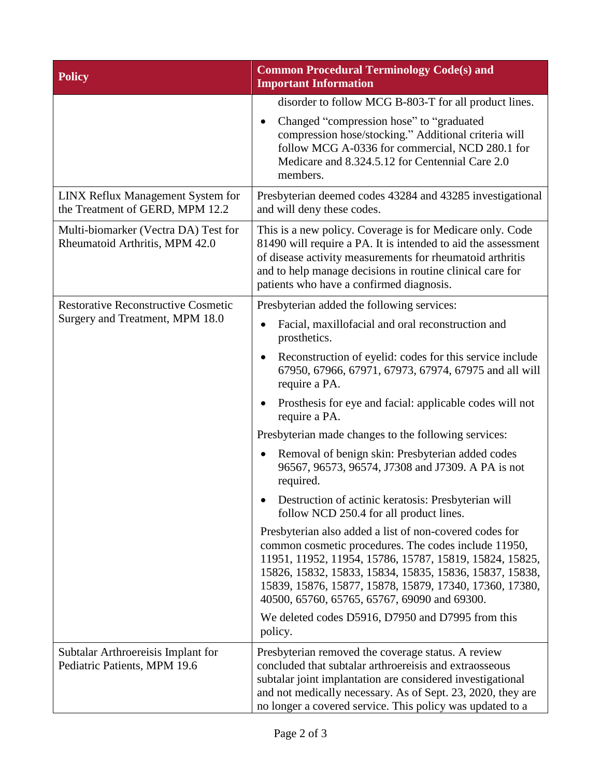| <b>Policy</b>                                                                 | <b>Common Procedural Terminology Code(s) and</b><br><b>Important Information</b>                                                                                                                                                                                                                                                                 |
|-------------------------------------------------------------------------------|--------------------------------------------------------------------------------------------------------------------------------------------------------------------------------------------------------------------------------------------------------------------------------------------------------------------------------------------------|
|                                                                               | disorder to follow MCG B-803-T for all product lines.                                                                                                                                                                                                                                                                                            |
|                                                                               | Changed "compression hose" to "graduated<br>$\bullet$<br>compression hose/stocking." Additional criteria will<br>follow MCG A-0336 for commercial, NCD 280.1 for<br>Medicare and 8.324.5.12 for Centennial Care 2.0<br>members.                                                                                                                  |
| LINX Reflux Management System for<br>the Treatment of GERD, MPM 12.2          | Presbyterian deemed codes 43284 and 43285 investigational<br>and will deny these codes.                                                                                                                                                                                                                                                          |
| Multi-biomarker (Vectra DA) Test for<br>Rheumatoid Arthritis, MPM 42.0        | This is a new policy. Coverage is for Medicare only. Code<br>81490 will require a PA. It is intended to aid the assessment<br>of disease activity measurements for rheumatoid arthritis<br>and to help manage decisions in routine clinical care for<br>patients who have a confirmed diagnosis.                                                 |
| <b>Restorative Reconstructive Cosmetic</b><br>Surgery and Treatment, MPM 18.0 | Presbyterian added the following services:                                                                                                                                                                                                                                                                                                       |
|                                                                               | Facial, maxillofacial and oral reconstruction and<br>prosthetics.                                                                                                                                                                                                                                                                                |
|                                                                               | Reconstruction of eyelid: codes for this service include<br>$\bullet$<br>67950, 67966, 67971, 67973, 67974, 67975 and all will<br>require a PA.                                                                                                                                                                                                  |
|                                                                               | Prosthesis for eye and facial: applicable codes will not<br>require a PA.                                                                                                                                                                                                                                                                        |
|                                                                               | Presbyterian made changes to the following services:                                                                                                                                                                                                                                                                                             |
|                                                                               | Removal of benign skin: Presbyterian added codes<br>٠<br>96567, 96573, 96574, J7308 and J7309. A PA is not<br>required.                                                                                                                                                                                                                          |
|                                                                               | Destruction of actinic keratosis: Presbyterian will<br>follow NCD 250.4 for all product lines.                                                                                                                                                                                                                                                   |
|                                                                               | Presbyterian also added a list of non-covered codes for<br>common cosmetic procedures. The codes include 11950,<br>11951, 11952, 11954, 15786, 15787, 15819, 15824, 15825,<br>15826, 15832, 15833, 15834, 15835, 15836, 15837, 15838,<br>15839, 15876, 15877, 15878, 15879, 17340, 17360, 17380,<br>40500, 65760, 65765, 65767, 69090 and 69300. |
|                                                                               | We deleted codes D5916, D7950 and D7995 from this<br>policy.                                                                                                                                                                                                                                                                                     |
| Subtalar Arthroereisis Implant for<br>Pediatric Patients, MPM 19.6            | Presbyterian removed the coverage status. A review<br>concluded that subtalar arthroereisis and extraosseous<br>subtalar joint implantation are considered investigational<br>and not medically necessary. As of Sept. 23, 2020, they are<br>no longer a covered service. This policy was updated to a                                           |